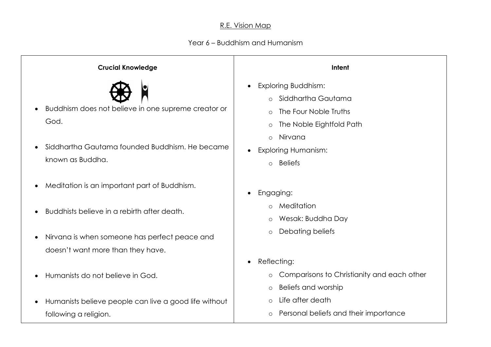## R.E. Vision Map

## Year 6 – Buddhism and Humanism